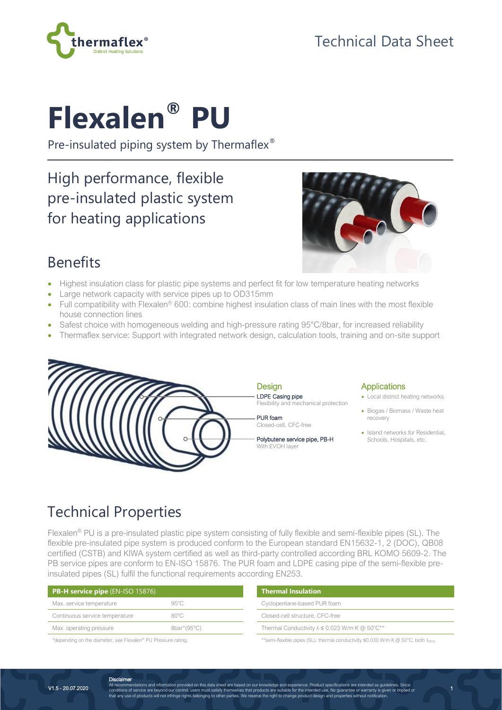

# Technical Data Sheet

# **Flexalen® PU**

hermaflex<sup>®</sup>

Pre-insulated piping system by Thermaflex<sup>®</sup>

# High performance, flexible pre-insulated plastic system for heating applications



## Benefits

- Highest insulation class for plastic pipe systems and perfect fit for low temperature heating networks
- Large network capacity with service pipes up to OD315mm
- Full compatibility with Flexalen<sup>®</sup> 600: combine highest insulation class of main lines with the most flexible house connection lines
- Safest choice with homogeneous welding and high-pressure rating 95°C/8bar, for increased reliability
- Thermaflex service: Support with integrated network design, calculation tools, training and on-site support



#### **Applications**

- Local district heating networks
- Biogas / Biomass / Waste heat recovery
- Island networks for Residential Schools, Hospitals, etc.

1

## Technical Properties

Flexalen® PU is a pre-insulated plastic pipe system consisting of fully flexible and semi-flexible pipes (SL). The flexible pre-insulated pipe system is produced conform to the European standard EN15632-1, 2 (DOC), QB08 certified (CSTB) and KIWA system certified as well as third-party controlled according BRL KOMO 5609-2. The PB service pipes are conform to EN-ISO 15876. The PUR foam and LDPE casing pipe of the semi-flexible preinsulated pipes (SL) fulfil the functional requirements according EN253.

| $PB-H$ service pipe (EN-ISO 15876) |                | <b>Thermal Insulation</b>                                |  |  |  |  |
|------------------------------------|----------------|----------------------------------------------------------|--|--|--|--|
| Max. service temperature           | $95^{\circ}$ C | Cyclopentane-based PUR foam                              |  |  |  |  |
| Continuous service temperature     | $80^{\circ}$ C | Closed-cell structure, CFC-free                          |  |  |  |  |
| Max. operating pressure            | 8bar*(95°C)    | Thermal Conductivity $\lambda \leq 0.023$ W/m·K @ 50°C** |  |  |  |  |
|                                    |                |                                                          |  |  |  |  |

\*depending on the diameter, see Flexalen® PU Pressure rating. \*\*semi-flexible pipes (SL): thermal conductivity ≤0.030 W/m·K @ 50°C; both λDECL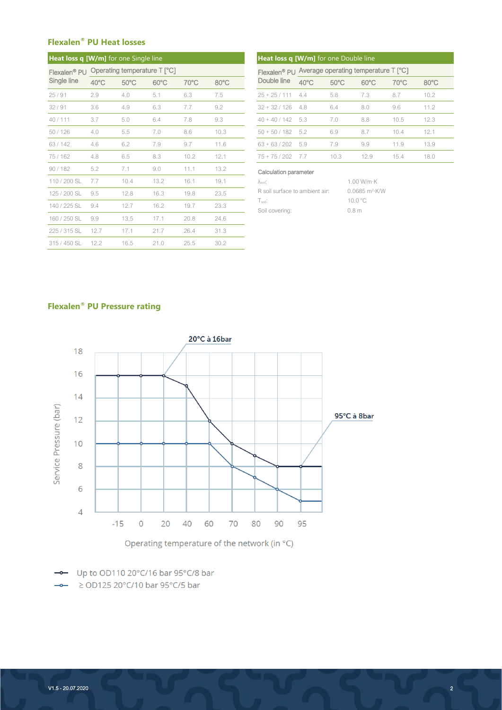#### **Flexalen® PU Heat losses**

| <b>Heat loss q [W/m]</b> for one Single line |                |                                           |                |                |                | Heat loss q [W/m] for one Double line                                                                                           |                                                   |                |                |                |            |  |  |
|----------------------------------------------|----------------|-------------------------------------------|----------------|----------------|----------------|---------------------------------------------------------------------------------------------------------------------------------|---------------------------------------------------|----------------|----------------|----------------|------------|--|--|
|                                              |                | Flexalen® PU Operating temperature T [°C] |                |                |                |                                                                                                                                 | Flexalen® PU Average operating temperature T [°C] |                |                |                |            |  |  |
| Single line                                  | $40^{\circ}$ C | $50^{\circ}$ C                            | $60^{\circ}$ C | $70^{\circ}$ C | $80^{\circ}$ C | Double line                                                                                                                     | $40^{\circ}$ C                                    | $50^{\circ}$ C | $60^{\circ}$ C | $70^{\circ}$ C | $80^\circ$ |  |  |
| 25/91                                        | 2.9            | 4.0                                       | 5.1            | 6.3            | 7.5            | $25 + 25 / 111$                                                                                                                 | 4.4                                               | 5.8            | 7.3            | 8.7            | 10.2       |  |  |
| 32/91                                        | 3.6            | 4.9                                       | 6.3            | 7.7            | 9.2            | $32 + 32 / 126$                                                                                                                 | 4.8                                               | 6.4            | 8.0            | 9.6            | 11.2       |  |  |
| 40/111                                       | 3.7            | 5.0                                       | 6.4            | 7.8            | 9.3            | $40 + 40 / 142$                                                                                                                 | 5.3                                               | 7.0            | 8.8            | 10.5           | 12.3       |  |  |
| 50/126                                       | 4.0            | 5.5                                       | 7.0            | 8.6            | 10.3           | $50 + 50 / 182$                                                                                                                 | 5.2                                               | 6.9            | 8.7            | 10.4           | 12.1       |  |  |
| 63/142                                       | 4.6            | 6.2                                       | 7.9            | 9.7            | 11.6           | $63 + 63 / 202$                                                                                                                 | 5.9                                               | 7.9            | 9.9            | 11.9           | 13.9       |  |  |
| 75/162                                       | 4.8            | 6.5                                       | 8.3            | 10.2           | 12.1           | $75 + 75 / 202$                                                                                                                 | 7.7                                               | 10.3           | 12.9           | 15.4           | 18.0       |  |  |
| 90/182                                       | 5.2            | 7.1                                       | 9.0            | 11.1           | 13.2           | Calculation parameter                                                                                                           |                                                   |                |                |                |            |  |  |
| 110 / 200 SL                                 | 7.7            | 10.4                                      | 13.2           | 16.1           | 19.1           | $\lambda_{\rm soil}$ :                                                                                                          |                                                   |                | 1.00 W/m·K     |                |            |  |  |
| 125 / 200 SL                                 | 9.5            | 12.8                                      | 16.3           | 19.8           | 23.5           | $0.0685 \text{ m}^2$ K/W<br>R soil surface to ambient air:<br>10.0 °C<br>$T_{\rm soil}$ :<br>0.8 <sub>m</sub><br>Soil covering: |                                                   |                |                |                |            |  |  |
| 140 / 225 SL                                 | 9.4            | 12.7                                      | 16.2           | 19.7           | 23.3           |                                                                                                                                 |                                                   |                |                |                |            |  |  |
| 160 / 250 SL                                 | 9.9            | 13.5                                      | 17.1           | 20.8           | 24.6           |                                                                                                                                 |                                                   |                |                |                |            |  |  |
| 225 / 315 SL                                 | 12.7           | 17.1                                      | 21.7           | 26.4           | 31.3           |                                                                                                                                 |                                                   |                |                |                |            |  |  |
| 315 / 450 SL                                 | 12.2           | 16.5                                      | 21.0           | 25.5           | 30.2           |                                                                                                                                 |                                                   |                |                |                |            |  |  |

| <b>N/m]</b> for one Single line |                |                |                |                | Heat loss q [W/m] for one Double line             |                |                |                |                |                |  |
|---------------------------------|----------------|----------------|----------------|----------------|---------------------------------------------------|----------------|----------------|----------------|----------------|----------------|--|
| Operating temperature T [°C]    |                |                |                |                | Flexalen® PU Average operating temperature T [°C] |                |                |                |                |                |  |
| 40°C                            | $50^{\circ}$ C | $60^{\circ}$ C | $70^{\circ}$ C | $80^{\circ}$ C | Double line                                       | $40^{\circ}$ C | $50^{\circ}$ C | $60^{\circ}$ C | $70^{\circ}$ C | $80^{\circ}$ C |  |
| 2.9                             | 4.0            | 5.1            | 6.3            | 7.5            | $25 + 25 / 111$                                   | 4.4            | 5.8            | 7.3            | 8.7            | 10.2           |  |
| 3.6                             | 4.9            | 6.3            | 7.7            | 9.2            | $32 + 32 / 126$                                   | 4.8            | 6.4            | 8.0            | 9.6            | 11.2           |  |
| 3.7                             | 5.0            | 6.4            | 7.8            | 9.3            | $40 + 40 / 142$ 5.3                               |                | 7.0            | 8.8            | 10.5           | 12.3           |  |
| 4.0                             | 5.5            | 7.0            | 8.6            | 10.3           | $50 + 50 / 182$ 5.2                               |                | 6.9            | 8.7            | 10.4           | 12.1           |  |
| 4.6                             | 6.2            | 7.9            | 9.7            | 11.6           | $63 + 63 / 202$ 5.9                               |                | 7.9            | 9.9            | 11.9           | 13.9           |  |
| 4.8                             | 6.5            | 8.3            | 10.2           | 12.1           | $75 + 75/202$                                     | 7.7            | 10.3           | 12.9           | 15.4           | 18.0           |  |
|                                 |                |                |                |                |                                                   |                |                |                |                |                |  |

#### Calculation parameter

| $\lambda$ soil:                | 1.00 W/m·K                 |
|--------------------------------|----------------------------|
| R soil surface to ambient air: | $0.0685 \text{ m}^2$ · K/W |
| $Tsoill$ :                     | 10.0 °C                    |
| Soil covering:                 | 0.8 <sub>m</sub>           |

#### **Flexalen® PU Pressure rating**



Operating temperature of the network (in °C)

- Up to OD110 20°C/16 bar 95°C/8 bar

 $\rightarrow$  2 OD125 20°C/10 bar 95°C/5 bar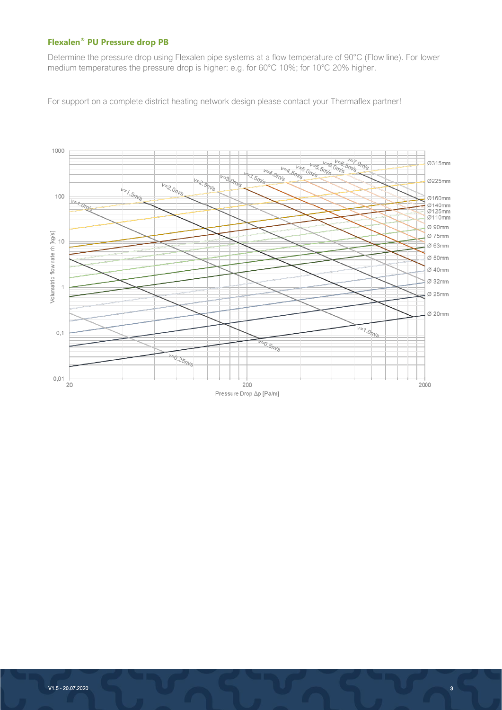#### **Flexalen® PU Pressure drop PB**

Determine the pressure drop using Flexalen pipe systems at a flow temperature of 90°C (Flow line). For lower medium temperatures the pressure drop is higher: e.g. for 60°C 10%; for 10°C 20% higher.

For support on a complete district heating network design please contact your Thermaflex partner!